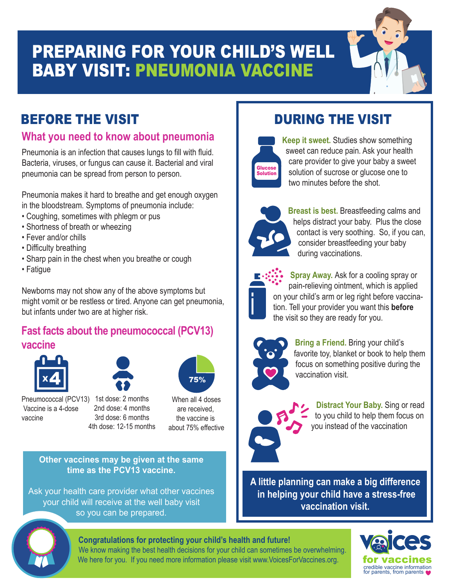# PREPARING FOR YOUR CHILD'S WELL BABY VISIT: PNEUMONIA VACCINE



### **What you need to know about pneumonia**

Pneumonia is an infection that causes lungs to fill with fluid. Bacteria, viruses, or fungus can cause it. Bacterial and viral pneumonia can be spread from person to person.

Pneumonia makes it hard to breathe and get enough oxygen in the bloodstream. Symptoms of pneumonia include:

- Coughing, sometimes with phlegm or pus
- Shortness of breath or wheezing
- Fever and/or chills
- Difficulty breathing
- Sharp pain in the chest when you breathe or cough
- Fatigue

Newborns may not show any of the above symptoms but might vomit or be restless or tired. Anyone can get pneumonia, but infants under two are at higher risk.

### **Fast facts about the pneumococcal (PCV13) vaccine**



Vaccine is a 4-dose

vaccine





4th dose: 12-15 months

When all 4 doses are received, the vaccine is about 75% effective

**Other vaccines may be given at the same time as the PCV13 vaccine.** 

Ask your health care provider what other vaccines your child will receive at the well baby visit so you can be prepared.

# **Making Your Child Comfortable**



**Keep it sweet.** Studies show something sweet can reduce pain. Ask your health care provider to give your baby a sweet solution of sucrose or glucose one to two minutes before the shot.



**Breast is best.** Breastfeeding calms and helps distract your baby. Plus the close contact is very soothing. So, if you can, consider breastfeeding your baby during vaccinations.

**Spray Away.** Ask for a cooling spray or pain-relieving ointment, which is applied on your child's arm or leg right before vaccination. Tell your provider you want this **before** the visit so they are ready for you.



**Bring a Friend.** Bring your child's favorite toy, blanket or book to help them focus on something positive during the vaccination visit.

## **Distract Your Baby.** Sing or read to you child to help them focus on you instead of the vaccination

**A little planning can make a big difference in helping your child have a stress-free vaccination visit.** 

#### **Congratulations for protecting your child's health and future!**



We know making the best health decisions for your child can sometimes be overwhelming. We here for you. If you need more information please visit www.VoicesForVaccines.org.